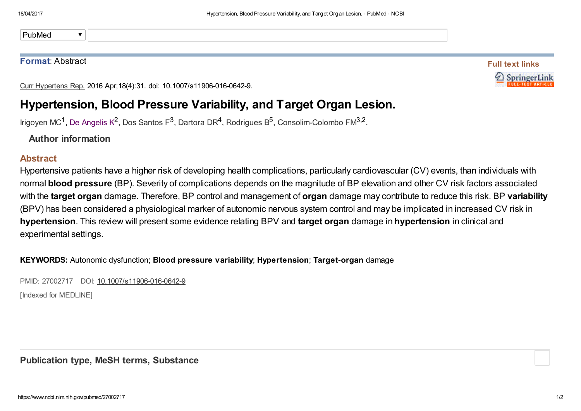PubMed $\overline{\mathbf{v}}$ 

## Format: Abstract

Full text links SpringerLin

Curr Hypertens Rep. 2016 Apr;18(4):31. doi: 10.1007/s11906-016-0642-9.

## Hypertension, Blood Pressure Variability, and Target Organ Lesion.

[Irigoyen](https://www.ncbi.nlm.nih.gov/pubmed/?term=Irigoyen%20MC%5BAuthor%5D&cauthor=true&cauthor_uid=27002717) MC<sup>1</sup>, De [Angelis](https://www.ncbi.nlm.nih.gov/pubmed/?term=De%20Angelis%20K%5BAuthor%5D&cauthor=true&cauthor_uid=27002717) K<sup>2</sup>, Dos [Santos](https://www.ncbi.nlm.nih.gov/pubmed/?term=Dos%20Santos%20F%5BAuthor%5D&cauthor=true&cauthor_uid=27002717) F<sup>3</sup>, [Dartora](https://www.ncbi.nlm.nih.gov/pubmed/?term=Dartora%20DR%5BAuthor%5D&cauthor=true&cauthor_uid=27002717) DR<sup>4</sup>, [Rodrigues](https://www.ncbi.nlm.nih.gov/pubmed/?term=Rodrigues%20B%5BAuthor%5D&cauthor=true&cauthor_uid=27002717) B<sup>5</sup>, [Consolim-Colombo](https://www.ncbi.nlm.nih.gov/pubmed/?term=Consolim-Colombo%20FM%5BAuthor%5D&cauthor=true&cauthor_uid=27002717) FM<sup>3,2</sup>.

Author information

## Abstract

Hypertensive patients have a higher risk of developing health complications, particularly cardiovascular (CV) events, than individuals with normal blood pressure (BP). Severity of complications depends on the magnitude of BP elevation and other CV risk factors associated with the target organ damage. Therefore, BP control and management of organ damage may contribute to reduce this risk. BP variability (BPV) has been considered a physiological marker of autonomic nervous system control and may be implicated in increased CV risk in hypertension. This review will present some evidence relating BPV and target organ damage in hypertension in clinical and experimental settings.

KEYWORDS: Autonomic dysfunction; Blood pressure variability; Hypertension; Target-organ damage

PMID: 27002717 DOI: [10.1007/s11906-016-0642-9](https://doi.org/10.1007/s11906-016-0642-9)

[Indexed for MEDLINE]